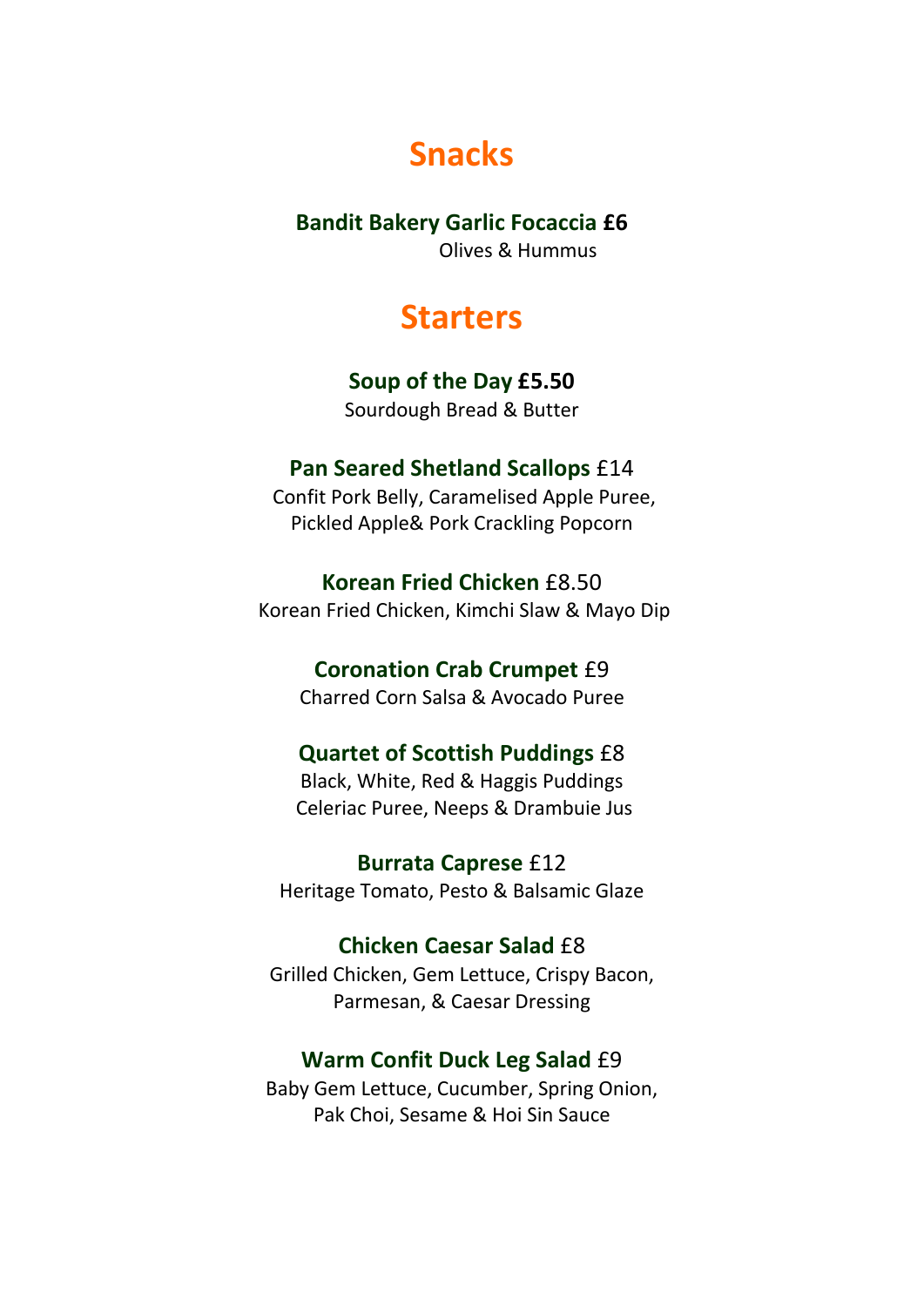# **Snacks**

#### **Bandit Bakery Garlic Focaccia £6**

Olives & Hummus

# **Starters**

## **Soup of the Day £5.50**

Sourdough Bread & Butter

### **Pan Seared Shetland Scallops** £14

Confit Pork Belly, Caramelised Apple Puree, Pickled Apple& Pork Crackling Popcorn

**Korean Fried Chicken** £8.50 Korean Fried Chicken, Kimchi Slaw & Mayo Dip

# **Coronation Crab Crumpet** £9

Charred Corn Salsa & Avocado Puree

# **Quartet of Scottish Puddings** £8

Black, White, Red & Haggis Puddings Celeriac Puree, Neeps & Drambuie Jus

**Burrata Caprese** £12 Heritage Tomato, Pesto & Balsamic Glaze

# **Chicken Caesar Salad** £8

Grilled Chicken, Gem Lettuce, Crispy Bacon, Parmesan, & Caesar Dressing

### **Warm Confit Duck Leg Salad** £9

Baby Gem Lettuce, Cucumber, Spring Onion, Pak Choi, Sesame & Hoi Sin Sauce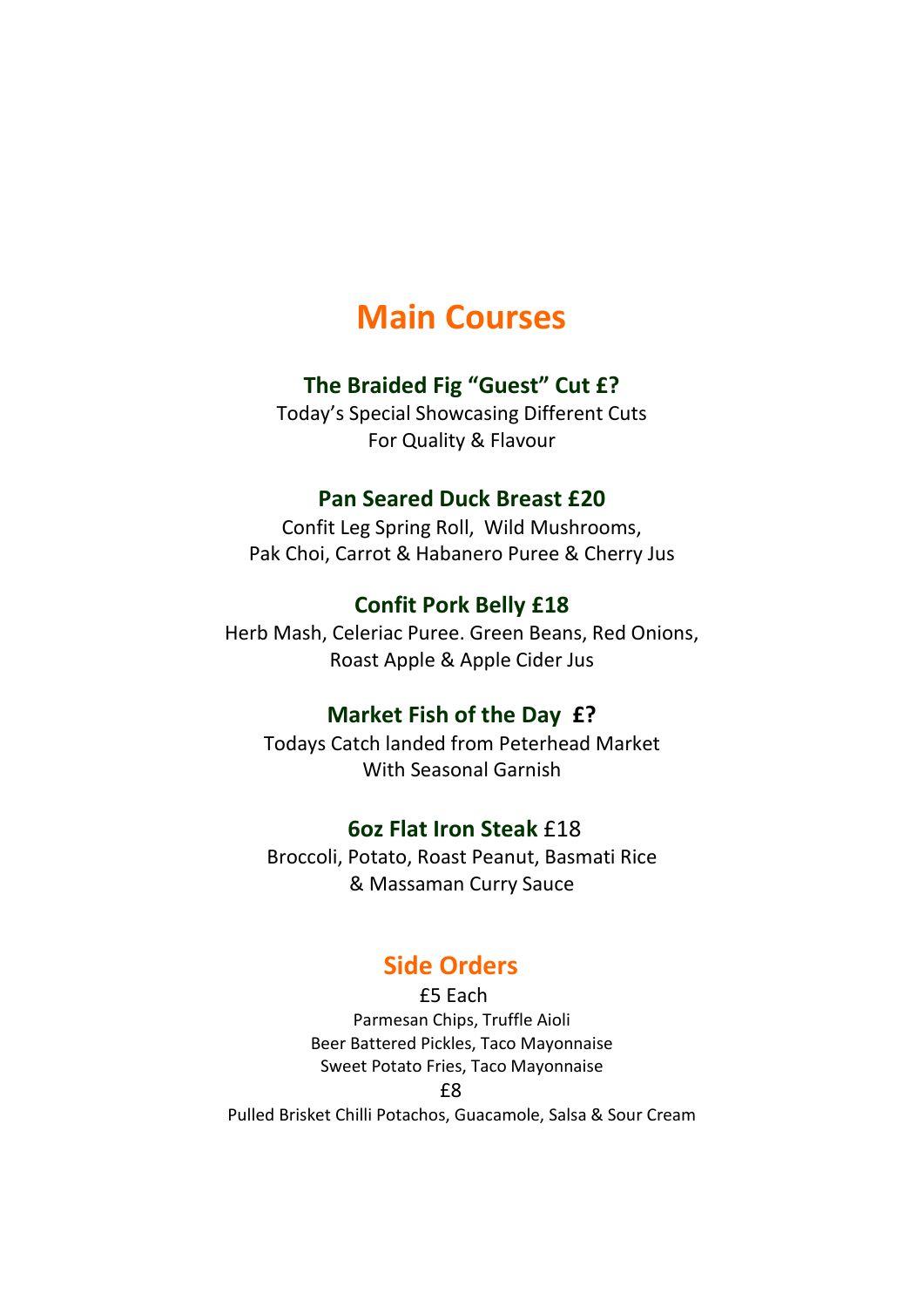# **Main Courses**

#### **The Braided Fig "Guest" Cut £?**

Today's Special Showcasing Different Cuts For Quality & Flavour

#### **Pan Seared Duck Breast £20**

Confit Leg Spring Roll, Wild Mushrooms, Pak Choi, Carrot & Habanero Puree & Cherry Jus

### **Confit Pork Belly £18**

Herb Mash, Celeriac Puree. Green Beans, Red Onions, Roast Apple & Apple Cider Jus

### **Market Fish of the Day £?**

Todays Catch landed from Peterhead Market With Seasonal Garnish

#### **6oz Flat Iron Steak** £18

Broccoli, Potato, Roast Peanut, Basmati Rice & Massaman Curry Sauce

# **Side Orders**

£5 Each Parmesan Chips, Truffle Aioli Beer Battered Pickles, Taco Mayonnaise Sweet Potato Fries, Taco Mayonnaise £8 Pulled Brisket Chilli Potachos, Guacamole, Salsa & Sour Cream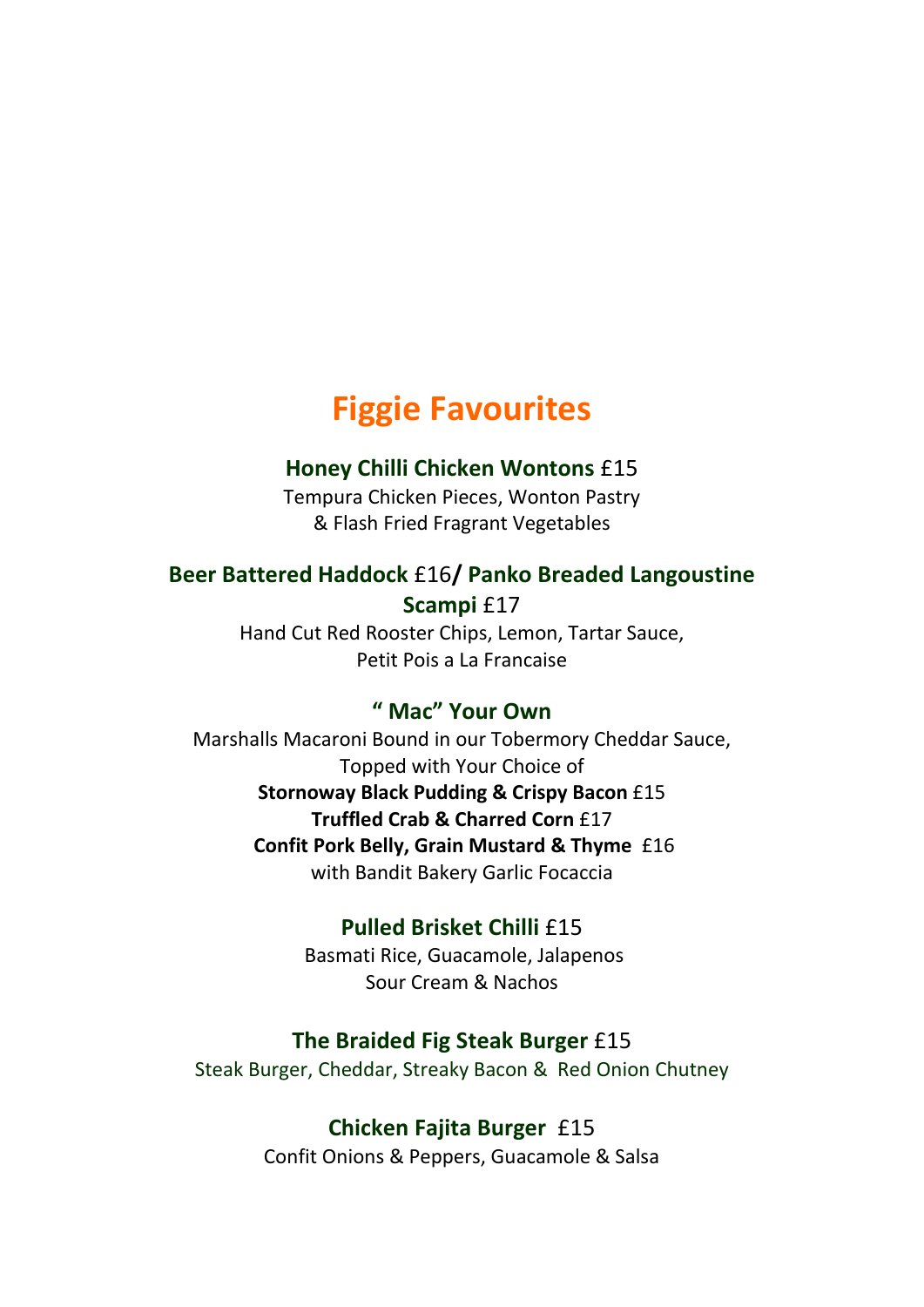# **Figgie Favourites**

### **Honey Chilli Chicken Wontons** £15

Tempura Chicken Pieces, Wonton Pastry & Flash Fried Fragrant Vegetables

### **Beer Battered Haddock** £16**/ Panko Breaded Langoustine Scampi** £17

Hand Cut Red Rooster Chips, Lemon, Tartar Sauce, Petit Pois a La Francaise

### **" Mac" Your Own**

Marshalls Macaroni Bound in our Tobermory Cheddar Sauce, Topped with Your Choice of **Stornoway Black Pudding & Crispy Bacon** £15 **Truffled Crab & Charred Corn** £17 **Confit Pork Belly, Grain Mustard & Thyme** £16 with Bandit Bakery Garlic Focaccia

#### **Pulled Brisket Chilli** £15

Basmati Rice, Guacamole, Jalapenos Sour Cream & Nachos

#### **The Braided Fig Steak Burger** £15

Steak Burger, Cheddar, Streaky Bacon & Red Onion Chutney

#### **Chicken Fajita Burger** £15

Confit Onions & Peppers, Guacamole & Salsa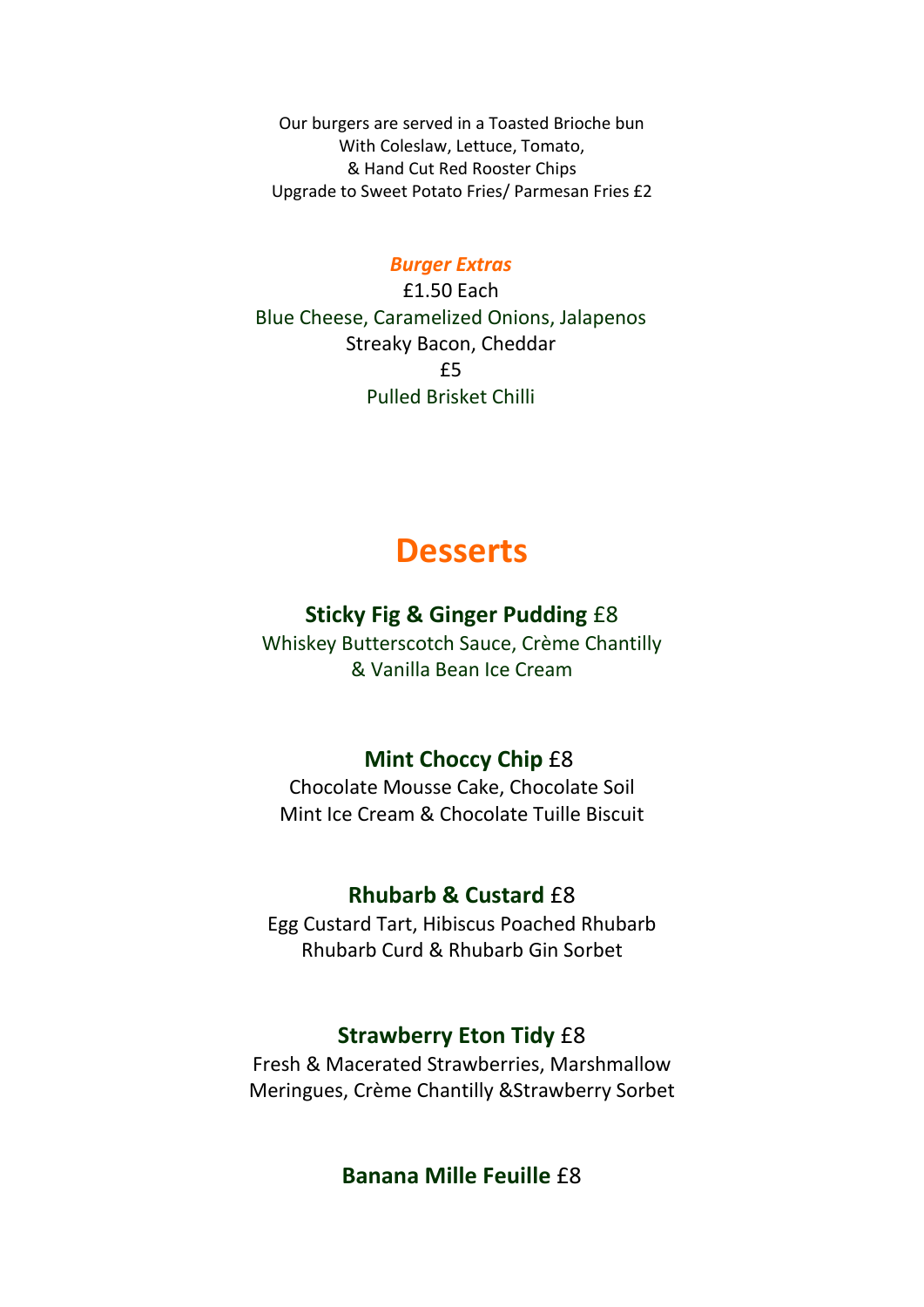Our burgers are served in a Toasted Brioche bun With Coleslaw, Lettuce, Tomato, & Hand Cut Red Rooster Chips Upgrade to Sweet Potato Fries/ Parmesan Fries £2

#### *Burger Extras*

£1.50 Each Blue Cheese, Caramelized Onions, Jalapenos Streaky Bacon, Cheddar  $f5$ Pulled Brisket Chilli

# **Desserts**

### **Sticky Fig & Ginger Pudding** £8

Whiskey Butterscotch Sauce, Crème Chantilly & Vanilla Bean Ice Cream

### **Mint Choccy Chip** £8

Chocolate Mousse Cake, Chocolate Soil Mint Ice Cream & Chocolate Tuille Biscuit

#### **Rhubarb & Custard** £8

Egg Custard Tart, Hibiscus Poached Rhubarb Rhubarb Curd & Rhubarb Gin Sorbet

#### **Strawberry Eton Tidy** £8

Fresh & Macerated Strawberries, Marshmallow Meringues, Crème Chantilly &Strawberry Sorbet

**Banana Mille Feuille** £8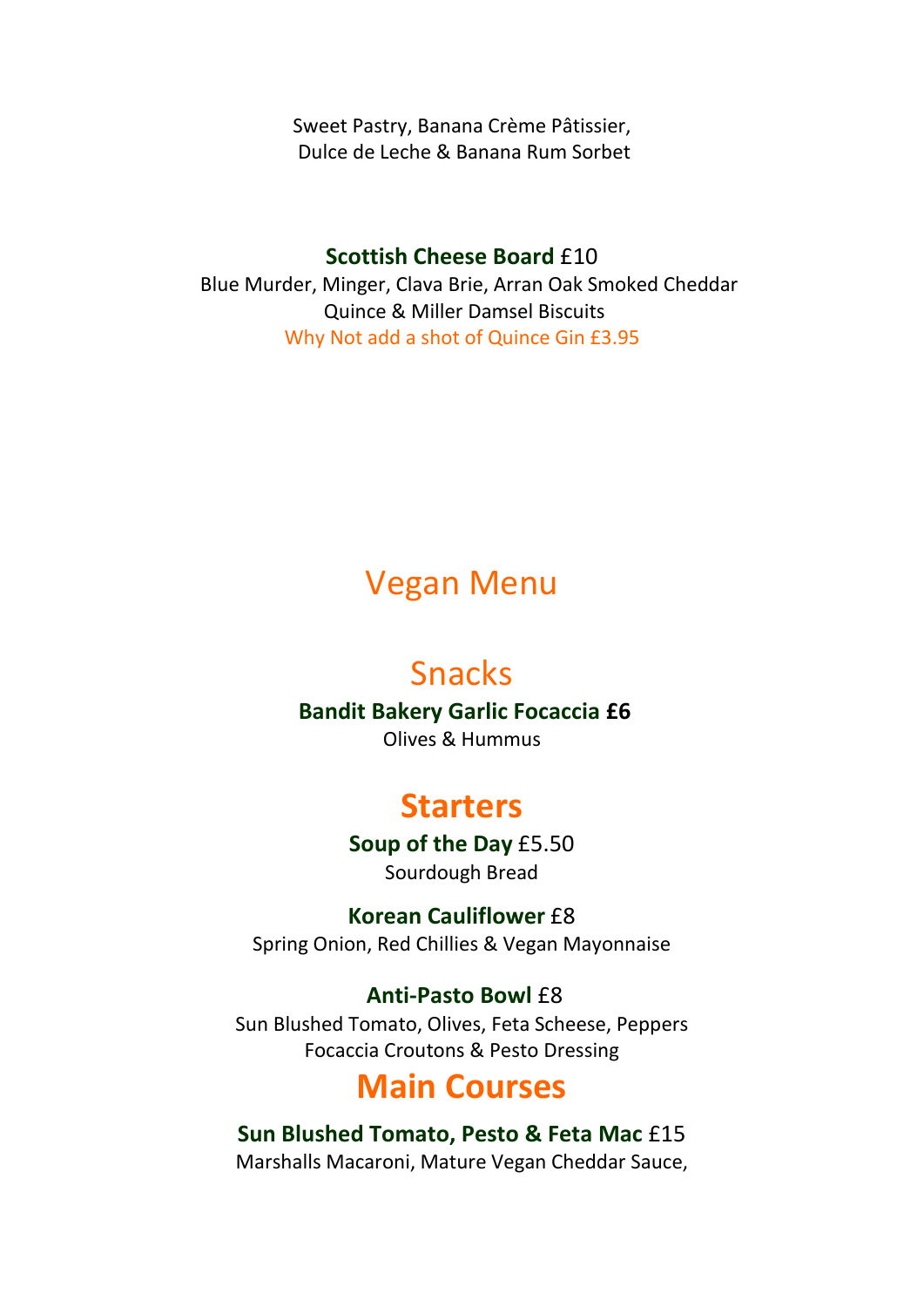Sweet Pastry, Banana Crème Pâtissier, Dulce de Leche & Banana Rum Sorbet

## **Scottish Cheese Board £10**

 Blue Murder, Minger, Clava Brie, Arran Oak Smoked Cheddar Quince & Miller Damsel Biscuits Why Not add a shot of Quince Gin £3.95

# Vegan Menu

# Snacks

**Bandit Bakery Garlic Focaccia £6** 

Olives & Hummus

# **Starters**

**Soup of the Day** £5.50 Sourdough Bread

**Korean Cauliflower** £8 Spring Onion, Red Chillies & Vegan Mayonnaise

# **Anti-Pasto Bowl** £8

Sun Blushed Tomato, Olives, Feta Scheese, Peppers Focaccia Croutons & Pesto Dressing

# **Main Courses**

# **Sun Blushed Tomato, Pesto & Feta Mac** £15

Marshalls Macaroni, Mature Vegan Cheddar Sauce,